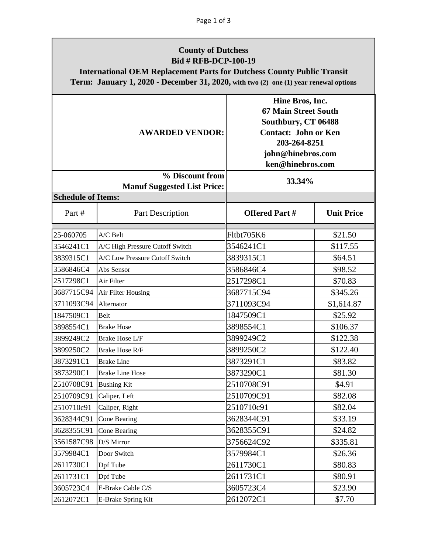| <b>County of Dutchess</b><br><b>Bid # RFB-DCP-100-19</b><br><b>International OEM Replacement Parts for Dutchess County Public Transit</b><br>Term: January 1, 2020 - December 31, 2020, with two (2) one (1) year renewal options |                                    |                                                                                                                                                               |                   |  |  |
|-----------------------------------------------------------------------------------------------------------------------------------------------------------------------------------------------------------------------------------|------------------------------------|---------------------------------------------------------------------------------------------------------------------------------------------------------------|-------------------|--|--|
| <b>AWARDED VENDOR</b>                                                                                                                                                                                                             |                                    | Hine Bros, Inc.<br><b>67 Main Street South</b><br>Southbury, CT 06488<br><b>Contact: John or Ken</b><br>203-264-8251<br>john@hinebros.com<br>ken@hinebros.com |                   |  |  |
| % Discount from                                                                                                                                                                                                                   |                                    | 33.34%                                                                                                                                                        |                   |  |  |
| <b>Schedule of Items:</b>                                                                                                                                                                                                         | <b>Manuf Suggested List Price:</b> |                                                                                                                                                               |                   |  |  |
| Part #                                                                                                                                                                                                                            | Part Description                   | <b>Offered Part #</b>                                                                                                                                         | <b>Unit Price</b> |  |  |
| 25-060705                                                                                                                                                                                                                         | A/C Belt                           | Fltbt705K6                                                                                                                                                    | \$21.50           |  |  |
| 3546241C1                                                                                                                                                                                                                         | A/C High Pressure Cutoff Switch    | 3546241C1                                                                                                                                                     | \$117.55          |  |  |
| 3839315C1                                                                                                                                                                                                                         | A/C Low Pressure Cutoff Switch     | 3839315C1                                                                                                                                                     | \$64.51           |  |  |
| 3586846C4                                                                                                                                                                                                                         | Abs Sensor                         | 3586846C4                                                                                                                                                     | \$98.52           |  |  |
| 2517298C1                                                                                                                                                                                                                         | Air Filter                         | 2517298C1                                                                                                                                                     | \$70.83           |  |  |
| 3687715C94                                                                                                                                                                                                                        | Air Filter Housing                 | 3687715C94                                                                                                                                                    | \$345.26          |  |  |
| 3711093C94                                                                                                                                                                                                                        | Alternator                         | 3711093C94                                                                                                                                                    | \$1,614.87        |  |  |
| 1847509C1                                                                                                                                                                                                                         | Belt                               | 1847509C1                                                                                                                                                     | \$25.92           |  |  |
| 3898554C1                                                                                                                                                                                                                         | <b>Brake Hose</b>                  | 3898554C1                                                                                                                                                     | \$106.37          |  |  |
| 3899249C2                                                                                                                                                                                                                         | Brake Hose L/F                     | 3899249C2                                                                                                                                                     | \$122.38          |  |  |
| 3899250C2                                                                                                                                                                                                                         | <b>Brake Hose R/F</b>              | 3899250C2                                                                                                                                                     | \$122.40          |  |  |
| 3873291C1                                                                                                                                                                                                                         | <b>Brake Line</b>                  | 3873291C1                                                                                                                                                     | \$83.82           |  |  |
| 3873290C1                                                                                                                                                                                                                         | <b>Brake Line Hose</b>             | 3873290C1                                                                                                                                                     | \$81.30           |  |  |
| 2510708C91                                                                                                                                                                                                                        | <b>Bushing Kit</b>                 | 2510708C91                                                                                                                                                    | \$4.91            |  |  |
| 2510709C91                                                                                                                                                                                                                        | Caliper, Left                      | 2510709C91                                                                                                                                                    | \$82.08           |  |  |
| 2510710c91                                                                                                                                                                                                                        | Caliper, Right                     | 2510710c91                                                                                                                                                    | \$82.04           |  |  |
| 3628344C91                                                                                                                                                                                                                        | Cone Bearing                       | 3628344C91                                                                                                                                                    | \$33.19           |  |  |
| 3628355C91                                                                                                                                                                                                                        | Cone Bearing                       | 3628355C91                                                                                                                                                    | \$24.82           |  |  |
| 3561587C98                                                                                                                                                                                                                        | D/S Mirror                         | 3756624C92                                                                                                                                                    | \$335.81          |  |  |
| 3579984C1                                                                                                                                                                                                                         | Door Switch                        | 3579984C1                                                                                                                                                     | \$26.36           |  |  |
| 2611730C1                                                                                                                                                                                                                         | Dpf Tube                           | 2611730C1                                                                                                                                                     | \$80.83           |  |  |
| 2611731C1                                                                                                                                                                                                                         | Dpf Tube                           | 2611731C1                                                                                                                                                     | \$80.91           |  |  |
| 3605723C4                                                                                                                                                                                                                         | E-Brake Cable C/S                  | 3605723C4                                                                                                                                                     | \$23.90           |  |  |
| 2612072C1                                                                                                                                                                                                                         | E-Brake Spring Kit                 | 2612072C1                                                                                                                                                     | \$7.70            |  |  |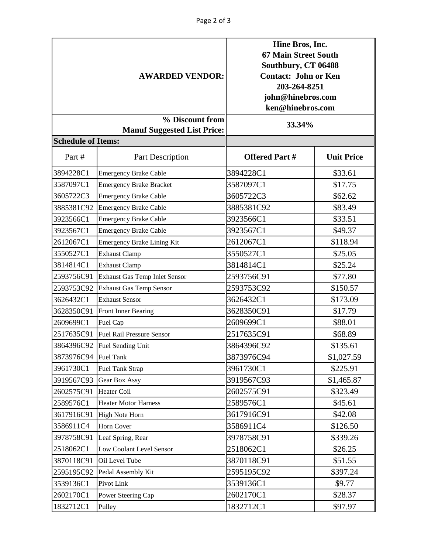| <b>AWARDED VENDOR:</b>             |                                      | Hine Bros, Inc.<br><b>67 Main Street South</b><br>Southbury, CT 06488<br><b>Contact: John or Ken</b><br>203-264-8251<br>john@hinebros.com<br>ken@hinebros.com |                   |
|------------------------------------|--------------------------------------|---------------------------------------------------------------------------------------------------------------------------------------------------------------|-------------------|
| % Discount from                    |                                      | 33.34%                                                                                                                                                        |                   |
| <b>Manuf Suggested List Price:</b> |                                      |                                                                                                                                                               |                   |
| <b>Schedule of Items:</b>          |                                      |                                                                                                                                                               |                   |
| Part #                             | Part Description                     | <b>Offered Part #</b>                                                                                                                                         | <b>Unit Price</b> |
| 3894228C1                          | <b>Emergency Brake Cable</b>         | 3894228C1                                                                                                                                                     | \$33.61           |
| 3587097C1                          | <b>Emergency Brake Bracket</b>       | 3587097C1                                                                                                                                                     | \$17.75           |
| 3605722C3                          | <b>Emergency Brake Cable</b>         | 3605722C3                                                                                                                                                     | \$62.62           |
| 3885381C92                         | <b>Emergency Brake Cable</b>         | 3885381C92                                                                                                                                                    | \$83.49           |
| 3923566C1                          | <b>Emergency Brake Cable</b>         | 3923566C1                                                                                                                                                     | \$33.51           |
| 3923567C1                          | <b>Emergency Brake Cable</b>         | 3923567C1                                                                                                                                                     | \$49.37           |
| 2612067C1                          | <b>Emergency Brake Lining Kit</b>    | 2612067C1                                                                                                                                                     | \$118.94          |
| 3550527C1                          | <b>Exhaust Clamp</b>                 | 3550527C1                                                                                                                                                     | \$25.05           |
| 3814814C1                          | <b>Exhaust Clamp</b>                 | 3814814C1                                                                                                                                                     | \$25.24           |
| 2593756C91                         | <b>Exhaust Gas Temp Inlet Sensor</b> | 2593756C91                                                                                                                                                    | \$77.80           |
| 2593753C92                         | <b>Exhaust Gas Temp Sensor</b>       | 2593753C92                                                                                                                                                    | \$150.57          |
| 3626432C1                          | <b>Exhaust Sensor</b>                | 3626432C1                                                                                                                                                     | \$173.09          |
| 3628350C91                         | Front Inner Bearing                  | 3628350C91                                                                                                                                                    | \$17.79           |
| 2609699C1                          | Fuel Cap                             | 2609699C1                                                                                                                                                     | \$88.01           |
| 2517635C91                         | <b>Fuel Rail Pressure Sensor</b>     | 2517635C91                                                                                                                                                    | \$68.89           |
| 3864396C92                         | Fuel Sending Unit                    | 3864396C92                                                                                                                                                    | \$135.61          |
| 3873976C94                         | <b>Fuel Tank</b>                     | 3873976C94                                                                                                                                                    | \$1,027.59        |
| 3961730C1                          | <b>Fuel Tank Strap</b>               | 3961730C1                                                                                                                                                     | \$225.91          |
| 3919567C93                         | <b>Gear Box Assy</b>                 | 3919567C93                                                                                                                                                    | \$1,465.87        |
| 2602575C91                         | Heater Coil                          | 2602575C91                                                                                                                                                    | \$323.49          |
| 2589576C1                          | <b>Heater Motor Harness</b>          | 2589576C1                                                                                                                                                     | \$45.61           |
| 3617916C91                         | <b>High Note Horn</b>                | 3617916C91                                                                                                                                                    | \$42.08           |
| 3586911C4                          | Horn Cover                           | 3586911C4                                                                                                                                                     | \$126.50          |
| 3978758C91                         | Leaf Spring, Rear                    | 3978758C91                                                                                                                                                    | \$339.26          |
| 2518062C1                          | Low Coolant Level Sensor             | 2518062C1                                                                                                                                                     | \$26.25           |
| 3870118C91                         | Oil Level Tube                       | 3870118C91                                                                                                                                                    | \$51.55           |
| 2595195C92                         | Pedal Assembly Kit                   | 2595195C92                                                                                                                                                    | \$397.24          |
| 3539136C1                          | Pivot Link                           | 3539136C1                                                                                                                                                     | \$9.77            |
| 2602170C1                          | Power Steering Cap                   | 2602170C1                                                                                                                                                     | \$28.37           |
| 1832712C1                          | Pulley                               | 1832712C1                                                                                                                                                     | \$97.97           |